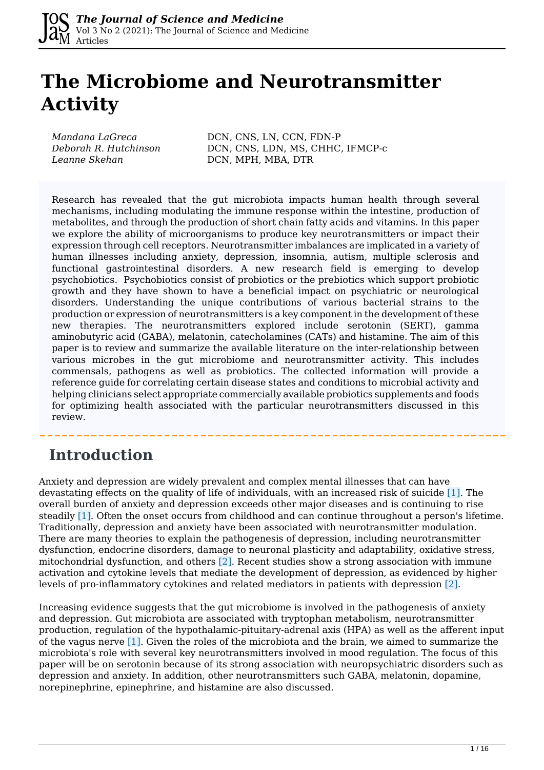# **The Microbiome and Neurotransmitter Activity**

*Leanne Skehan* **DCN, MPH, MBA, DTR** 

*Mandana LaGreca* DCN, CNS, LN, CCN, FDN-P *Deborah R. Hutchinson* DCN, CNS, LDN, MS, CHHC, IFMCP-c

Research has revealed that the gut microbiota impacts human health through several mechanisms, including modulating the immune response within the intestine, production of metabolites, and through the production of short chain fatty acids and vitamins. In this paper we explore the ability of microorganisms to produce key neurotransmitters or impact their expression through cell receptors. Neurotransmitter imbalances are implicated in a variety of human illnesses including anxiety, depression, insomnia, autism, multiple sclerosis and functional gastrointestinal disorders. A new research field is emerging to develop psychobiotics. Psychobiotics consist of probiotics or the prebiotics which support probiotic growth and they have shown to have a beneficial impact on psychiatric or neurological disorders. Understanding the unique contributions of various bacterial strains to the production or expression of neurotransmitters is a key component in the development of these new therapies. The neurotransmitters explored include serotonin (SERT), gamma aminobutyric acid (GABA), melatonin, catecholamines (CATs) and histamine. The aim of this paper is to review and summarize the available literature on the inter-relationship between various microbes in the gut microbiome and neurotransmitter activity. This includes commensals, pathogens as well as probiotics. The collected information will provide a reference guide for correlating certain disease states and conditions to microbial activity and helping clinicians select appropriate commercially available probiotics supplements and foods for optimizing health associated with the particular neurotransmitters discussed in this review.

## **Introduction**

Anxiety and depression are widely prevalent and complex mental illnesses that can have devastating effects on the quality of life of individuals, with an increased risk of suicide [1]. The overall burden of anxiety and depression exceeds other major diseases and is continuing to rise steadily [1]. Often the onset occurs from childhood and can continue throughout a person's lifetime. Traditionally, depression and anxiety have been associated with neurotransmitter modulation. There are many theories to explain the pathogenesis of depression, including neurotransmitter dysfunction, endocrine disorders, damage to neuronal plasticity and adaptability, oxidative stress, mitochondrial dysfunction, and others [2]. Recent studies show a strong association with immune activation and cytokine levels that mediate the development of depression, as evidenced by higher levels of pro-inflammatory cytokines and related mediators in patients with depression [2].

Increasing evidence suggests that the gut microbiome is involved in the pathogenesis of anxiety and depression. Gut microbiota are associated with tryptophan metabolism, neurotransmitter production, regulation of the hypothalamic-pituitary-adrenal axis (HPA) as well as the afferent input of the vagus nerve [1]. Given the roles of the microbiota and the brain, we aimed to summarize the microbiota's role with several key neurotransmitters involved in mood regulation. The focus of this paper will be on serotonin because of its strong association with neuropsychiatric disorders such as depression and anxiety. In addition, other neurotransmitters such GABA, melatonin, dopamine, norepinephrine, epinephrine, and histamine are also discussed.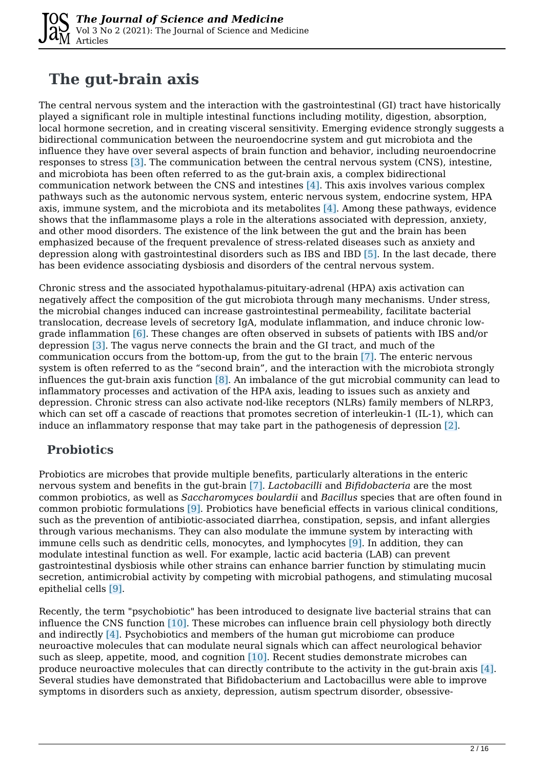## **The gut-brain axis**

The central nervous system and the interaction with the gastrointestinal (GI) tract have historically played a significant role in multiple intestinal functions including motility, digestion, absorption, local hormone secretion, and in creating visceral sensitivity. Emerging evidence strongly suggests a bidirectional communication between the neuroendocrine system and gut microbiota and the influence they have over several aspects of brain function and behavior, including neuroendocrine responses to stress [3]. The communication between the central nervous system (CNS), intestine, and microbiota has been often referred to as the gut-brain axis, a complex bidirectional communication network between the CNS and intestines [4]. This axis involves various complex pathways such as the autonomic nervous system, enteric nervous system, endocrine system, HPA axis, immune system, and the microbiota and its metabolites [4]. Among these pathways, evidence shows that the inflammasome plays a role in the alterations associated with depression, anxiety, and other mood disorders. The existence of the link between the gut and the brain has been emphasized because of the frequent prevalence of stress-related diseases such as anxiety and depression along with gastrointestinal disorders such as IBS and IBD [5]. In the last decade, there has been evidence associating dysbiosis and disorders of the central nervous system.

Chronic stress and the associated hypothalamus-pituitary-adrenal (HPA) axis activation can negatively affect the composition of the gut microbiota through many mechanisms. Under stress, the microbial changes induced can increase gastrointestinal permeability, facilitate bacterial translocation, decrease levels of secretory IgA, modulate inflammation, and induce chronic lowgrade inflammation  $[6]$ . These changes are often observed in subsets of patients with IBS and/or depression [3]. The vagus nerve connects the brain and the GI tract, and much of the communication occurs from the bottom-up, from the gut to the brain [7]. The enteric nervous system is often referred to as the "second brain", and the interaction with the microbiota strongly influences the gut-brain axis function  $[8]$ . An imbalance of the gut microbial community can lead to inflammatory processes and activation of the HPA axis, leading to issues such as anxiety and depression. Chronic stress can also activate nod-like receptors (NLRs) family members of NLRP3, which can set off a cascade of reactions that promotes secretion of interleukin-1 (IL-1), which can induce an inflammatory response that may take part in the pathogenesis of depression [2].

### **Probiotics**

Probiotics are microbes that provide multiple benefits, particularly alterations in the enteric nervous system and benefits in the gut-brain [7]. *Lactobacilli* and *Bifidobacteria* are the most common probiotics, as well as *Saccharomyces boulardii* and *Bacillus* species that are often found in common probiotic formulations [9]. Probiotics have beneficial effects in various clinical conditions, such as the prevention of antibiotic-associated diarrhea, constipation, sepsis, and infant allergies through various mechanisms. They can also modulate the immune system by interacting with immune cells such as dendritic cells, monocytes, and lymphocytes [9]. In addition, they can modulate intestinal function as well. For example, lactic acid bacteria (LAB) can prevent gastrointestinal dysbiosis while other strains can enhance barrier function by stimulating mucin secretion, antimicrobial activity by competing with microbial pathogens, and stimulating mucosal epithelial cells [9].

Recently, the term "psychobiotic" has been introduced to designate live bacterial strains that can influence the CNS function [10]. These microbes can influence brain cell physiology both directly and indirectly [4]. Psychobiotics and members of the human gut microbiome can produce neuroactive molecules that can modulate neural signals which can affect neurological behavior such as sleep, appetite, mood, and cognition  $[10]$ . Recent studies demonstrate microbes can produce neuroactive molecules that can directly contribute to the activity in the gut-brain axis  $[4]$ . Several studies have demonstrated that Bifidobacterium and Lactobacillus were able to improve symptoms in disorders such as anxiety, depression, autism spectrum disorder, obsessive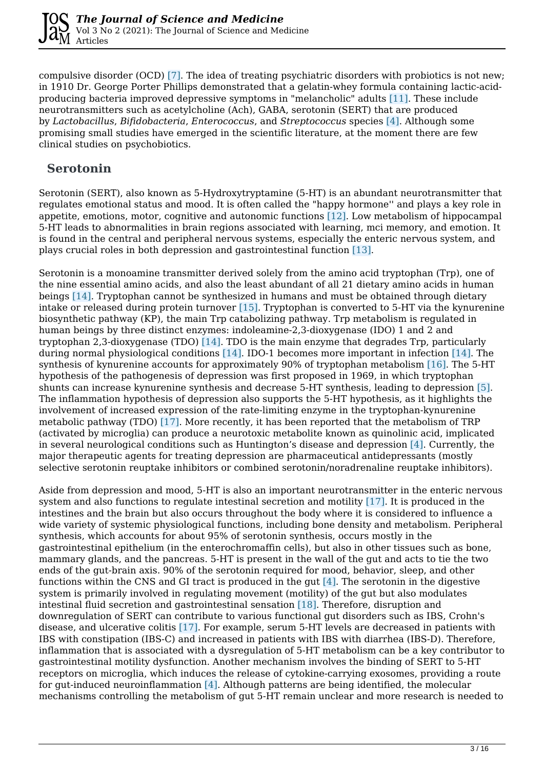compulsive disorder (OCD) [7]. The idea of treating psychiatric disorders with probiotics is not new; in 1910 Dr. George Porter Phillips demonstrated that a gelatin-whey formula containing lactic-acidproducing bacteria improved depressive symptoms in "melancholic" adults [11]. These include neurotransmitters such as acetylcholine (Ach), GABA, serotonin (SERT) that are produced by *Lactobacillus*, *Bifidobacteria*, *Enterococcus*, and *Streptococcus* species [4]. Although some promising small studies have emerged in the scientific literature, at the moment there are few clinical studies on psychobiotics.

### **Serotonin**

Serotonin (SERT), also known as 5-Hydroxytryptamine (5-HT) is an abundant neurotransmitter that regulates emotional status and mood. It is often called the "happy hormone'' and plays a key role in appetite, emotions, motor, cognitive and autonomic functions [12]. Low metabolism of hippocampal 5-HT leads to abnormalities in brain regions associated with learning, mci memory, and emotion. It is found in the central and peripheral nervous systems, especially the enteric nervous system, and plays crucial roles in both depression and gastrointestinal function [13].

Serotonin is a monoamine transmitter derived solely from the amino acid tryptophan (Trp), one of the nine essential amino acids, and also the least abundant of all 21 dietary amino acids in human beings [14]. Tryptophan cannot be synthesized in humans and must be obtained through dietary intake or released during protein turnover  $[15]$ . Tryptophan is converted to 5-HT via the kynurenine biosynthetic pathway (KP), the main Trp catabolizing pathway. Trp metabolism is regulated in human beings by three distinct enzymes: indoleamine-2,3-dioxygenase (IDO) 1 and 2 and tryptophan 2,3-dioxygenase (TDO)  $[14]$ . TDO is the main enzyme that degrades Trp, particularly during normal physiological conditions [14]. IDO-1 becomes more important in infection [14]. The synthesis of kynurenine accounts for approximately 90% of tryptophan metabolism [16]. The 5-HT hypothesis of the pathogenesis of depression was first proposed in 1969, in which tryptophan shunts can increase kynurenine synthesis and decrease 5-HT synthesis, leading to depression [5]. The inflammation hypothesis of depression also supports the 5-HT hypothesis, as it highlights the involvement of increased expression of the rate-limiting enzyme in the tryptophan-kynurenine metabolic pathway (TDO) [17]. More recently, it has been reported that the metabolism of TRP (activated by microglia) can produce a neurotoxic metabolite known as quinolinic acid, implicated in several neurological conditions such as Huntington's disease and depression  $[4]$ . Currently, the major therapeutic agents for treating depression are pharmaceutical antidepressants (mostly selective serotonin reuptake inhibitors or combined serotonin/noradrenaline reuptake inhibitors).

Aside from depression and mood, 5-HT is also an important neurotransmitter in the enteric nervous system and also functions to regulate intestinal secretion and motility [17]. It is produced in the intestines and the brain but also occurs throughout the body where it is considered to influence a wide variety of systemic physiological functions, including bone density and metabolism. Peripheral synthesis, which accounts for about 95% of serotonin synthesis, occurs mostly in the gastrointestinal epithelium (in the enterochromaffin cells), but also in other tissues such as bone, mammary glands, and the pancreas. 5-HT is present in the wall of the gut and acts to tie the two ends of the gut-brain axis. 90% of the serotonin required for mood, behavior, sleep, and other functions within the CNS and GI tract is produced in the gut  $[4]$ . The serotonin in the digestive system is primarily involved in regulating movement (motility) of the gut but also modulates intestinal fluid secretion and gastrointestinal sensation [18]. Therefore, disruption and downregulation of SERT can contribute to various functional gut disorders such as IBS, Crohn's disease, and ulcerative colitis [17]. For example, serum 5-HT levels are decreased in patients with IBS with constipation (IBS-C) and increased in patients with IBS with diarrhea (IBS-D). Therefore, inflammation that is associated with a dysregulation of 5-HT metabolism can be a key contributor to gastrointestinal motility dysfunction. Another mechanism involves the binding of SERT to 5-HT receptors on microglia, which induces the release of cytokine-carrying exosomes, providing a route for gut-induced neuroinflammation  $[4]$ . Although patterns are being identified, the molecular mechanisms controlling the metabolism of gut 5-HT remain unclear and more research is needed to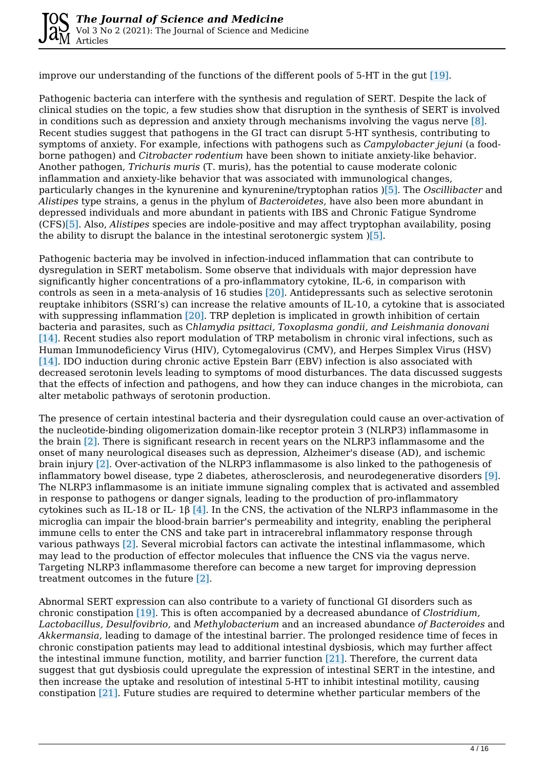improve our understanding of the functions of the different pools of 5-HT in the gut [19].

Pathogenic bacteria can interfere with the synthesis and regulation of SERT. Despite the lack of clinical studies on the topic, a few studies show that disruption in the synthesis of SERT is involved in conditions such as depression and anxiety through mechanisms involving the vagus nerve  $[8]$ . Recent studies suggest that pathogens in the GI tract can disrupt 5-HT synthesis, contributing to symptoms of anxiety. For example, infections with pathogens such as *Campylobacter jejuni* (a foodborne pathogen) and *Citrobacter rodentium* have been shown to initiate anxiety-like behavior. Another pathogen, *Trichuris muris* (T. muris), has the potential to cause moderate colonic inflammation and anxiety-like behavior that was associated with immunological changes, particularly changes in the kynurenine and kynurenine/tryptophan ratios )[5]. The *Oscillibacter* and *Alistipes* type strains, a genus in the phylum of *Bacteroidetes,* have also been more abundant in depressed individuals and more abundant in patients with IBS and Chronic Fatigue Syndrome (CFS)[5]. Also, *Alistipes* species are indole-positive and may affect tryptophan availability, posing the ability to disrupt the balance in the intestinal serotonergic system  $\sqrt{5}$ .

Pathogenic bacteria may be involved in infection-induced inflammation that can contribute to dysregulation in SERT metabolism. Some observe that individuals with major depression have significantly higher concentrations of a pro-inflammatory cytokine, IL-6, in comparison with controls as seen in a meta-analysis of 16 studies [20]. Antidepressants such as selective serotonin reuptake inhibitors (SSRI's) can increase the relative amounts of IL-10, a cytokine that is associated with suppressing inflammation [20]. TRP depletion is implicated in growth inhibition of certain bacteria and parasites, such as C*hlamydia psittaci, Toxoplasma gondii, and Leishmania donovani* [14]. Recent studies also report modulation of TRP metabolism in chronic viral infections, such as Human Immunodeficiency Virus (HIV), Cytomegalovirus (CMV), and Herpes Simplex Virus (HSV) [14]. IDO induction during chronic active Epstein Barr (EBV) infection is also associated with decreased serotonin levels leading to symptoms of mood disturbances. The data discussed suggests that the effects of infection and pathogens, and how they can induce changes in the microbiota, can alter metabolic pathways of serotonin production.

The presence of certain intestinal bacteria and their dysregulation could cause an over-activation of the nucleotide-binding oligomerization domain-like receptor protein 3 (NLRP3) inflammasome in the brain [2]. There is significant research in recent years on the NLRP3 inflammasome and the onset of many neurological diseases such as depression, Alzheimer's disease (AD), and ischemic brain injury [2]. Over-activation of the NLRP3 inflammasome is also linked to the pathogenesis of inflammatory bowel disease, type 2 diabetes, atherosclerosis, and neurodegenerative disorders [9]. The NLRP3 inflammasome is an initiate immune signaling complex that is activated and assembled in response to pathogens or danger signals, leading to the production of pro-inflammatory cytokines such as IL-18 or IL-18 [4]. In the CNS, the activation of the NLRP3 inflammasome in the microglia can impair the blood-brain barrier's permeability and integrity, enabling the peripheral immune cells to enter the CNS and take part in intracerebral inflammatory response through various pathways [2]. Several microbial factors can activate the intestinal inflammasome, which may lead to the production of effector molecules that influence the CNS via the vagus nerve. Targeting NLRP3 inflammasome therefore can become a new target for improving depression treatment outcomes in the future [2].

Abnormal SERT expression can also contribute to a variety of functional GI disorders such as chronic constipation [19]. This is often accompanied by a decreased abundance of *Clostridium, Lactobacillus, Desulfovibrio,* and *Methylobacterium* and an increased abundance *of Bacteroides* and *Akkermansia,* leading to damage of the intestinal barrier. The prolonged residence time of feces in chronic constipation patients may lead to additional intestinal dysbiosis, which may further affect the intestinal immune function, motility, and barrier function  $[21]$ . Therefore, the current data suggest that gut dysbiosis could upregulate the expression of intestinal SERT in the intestine, and then increase the uptake and resolution of intestinal 5-HT to inhibit intestinal motility, causing constipation [21]. Future studies are required to determine whether particular members of the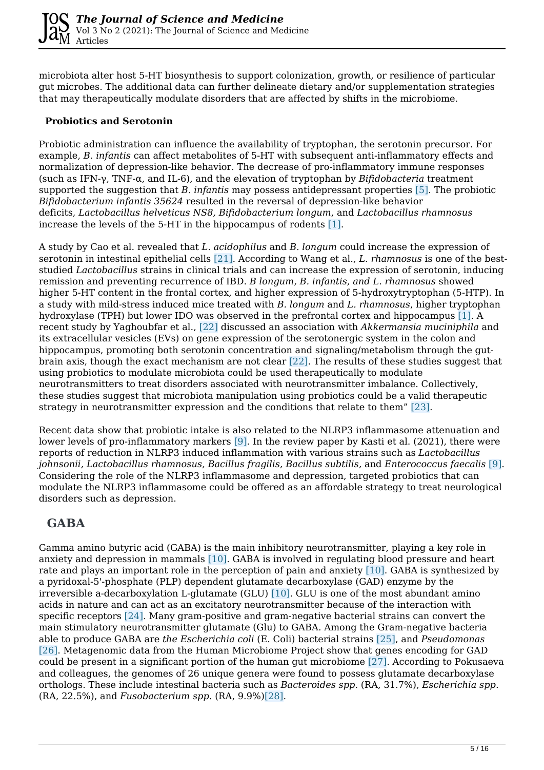microbiota alter host 5-HT biosynthesis to support colonization, growth, or resilience of particular gut microbes. The additional data can further delineate dietary and/or supplementation strategies that may therapeutically modulate disorders that are affected by shifts in the microbiome.

#### **Probiotics and Serotonin**

Probiotic administration can influence the availability of tryptophan, the serotonin precursor. For example, *B. infantis* can affect metabolites of 5-HT with subsequent anti-inflammatory effects and normalization of depression-like behavior. The decrease of pro-inflammatory immune responses (such as IFN-γ, TNF-α, and IL-6), and the elevation of tryptophan by *Bifidobacteria* treatment supported the suggestion that *B. infantis* may possess antidepressant properties [5]. The probiotic *Bifidobacterium infantis 35624* resulted in the reversal of depression-like behavior deficits, *Lactobacillus helveticus NS8, Bifidobacterium longum*, and *Lactobacillus rhamnosus* increase the levels of the 5-HT in the hippocampus of rodents [1].

A study by Cao et al. revealed that *L. acidophilus* and *B. longum* could increase the expression of serotonin in intestinal epithelial cells [21]. According to Wang et al., *L. rhamnosus* is one of the beststudied *Lactobacillus* strains in clinical trials and can increase the expression of serotonin, inducing remission and preventing recurrence of IBD. *B longum, B. infantis, and L. rhamnosus* showed higher 5-HT content in the frontal cortex, and higher expression of 5-hydroxytryptophan (5-HTP). In a study with mild-stress induced mice treated with *B. longum* and *L. rhamnosus*, higher tryptophan hydroxylase (TPH) but lower IDO was observed in the prefrontal cortex and hippocampus [1]. A recent study by Yaghoubfar et al., [22] discussed an association with *Akkermansia muciniphila* and its extracellular vesicles (EVs) on gene expression of the serotonergic system in the colon and hippocampus, promoting both serotonin concentration and signaling/metabolism through the gutbrain axis, though the exact mechanism are not clear [22]. The results of these studies suggest that using probiotics to modulate microbiota could be used therapeutically to modulate neurotransmitters to treat disorders associated with neurotransmitter imbalance. Collectively, these studies suggest that microbiota manipulation using probiotics could be a valid therapeutic strategy in neurotransmitter expression and the conditions that relate to them" [23].

Recent data show that probiotic intake is also related to the NLRP3 inflammasome attenuation and lower levels of pro-inflammatory markers [9]. In the review paper by Kasti et al. (2021), there were reports of reduction in NLRP3 induced inflammation with various strains such as *Lactobacillus johnsonii, Lactobacillus rhamnosus, Bacillus fragilis, Bacillus subtilis,* and *Enterococcus faecalis* [9]. Considering the role of the NLRP3 inflammasome and depression, targeted probiotics that can modulate the NLRP3 inflammasome could be offered as an affordable strategy to treat neurological disorders such as depression.

### **GABA**

Gamma amino butyric acid (GABA) is the main inhibitory neurotransmitter, playing a key role in anxiety and depression in mammals [10]. GABA is involved in regulating blood pressure and heart rate and plays an important role in the perception of pain and anxiety [10]. GABA is synthesized by a pyridoxal-5'-phosphate (PLP) dependent glutamate decarboxylase (GAD) enzyme by the irreversible a-decarboxylation L-glutamate (GLU) [10]. GLU is one of the most abundant amino acids in nature and can act as an excitatory neurotransmitter because of the interaction with specific receptors [24]. Many gram-positive and gram-negative bacterial strains can convert the main stimulatory neurotransmitter glutamate (Glu) to GABA. Among the Gram-negative bacteria able to produce GABA are *the Escherichia coli* (E. Coli) bacterial strains [25], and *Pseudomonas* [26]. Metagenomic data from the Human Microbiome Project show that genes encoding for GAD could be present in a significant portion of the human gut microbiome [27]. According to Pokusaeva and colleagues, the genomes of 26 unique genera were found to possess glutamate decarboxylase orthologs. These include intestinal bacteria such as *Bacteroides spp*. (RA, 31.7%), *Escherichia spp*. (RA, 22.5%), and *Fusobacterium spp*. (RA, 9.9%)[28].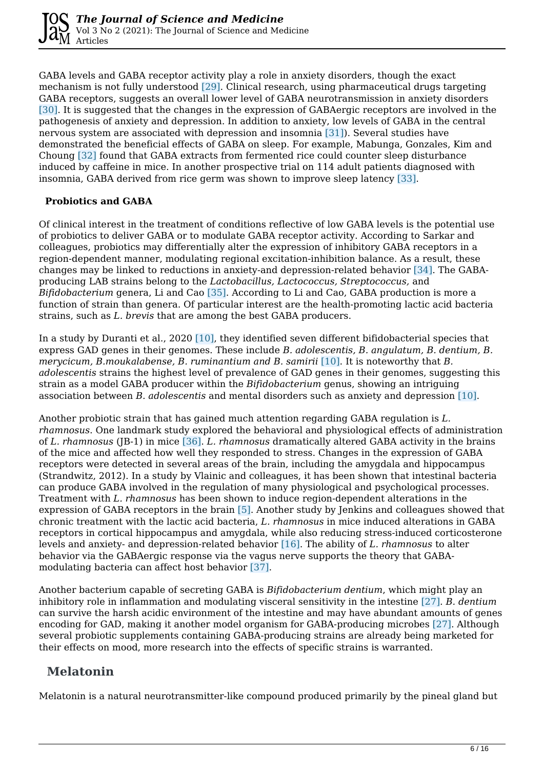GABA levels and GABA receptor activity play a role in anxiety disorders, though the exact mechanism is not fully understood [29]. Clinical research, using pharmaceutical drugs targeting GABA receptors, suggests an overall lower level of GABA neurotransmission in anxiety disorders [30]. It is suggested that the changes in the expression of GABAergic receptors are involved in the pathogenesis of anxiety and depression. In addition to anxiety, low levels of GABA in the central nervous system are associated with depression and insomnia [31]). Several studies have demonstrated the beneficial effects of GABA on sleep. For example, Mabunga, Gonzales, Kim and Choung [32] found that GABA extracts from fermented rice could counter sleep disturbance induced by caffeine in mice. In another prospective trial on 114 adult patients diagnosed with insomnia, GABA derived from rice germ was shown to improve sleep latency [33].

#### **Probiotics and GABA**

Of clinical interest in the treatment of conditions reflective of low GABA levels is the potential use of probiotics to deliver GABA or to modulate GABA receptor activity. According to Sarkar and colleagues, probiotics may differentially alter the expression of inhibitory GABA receptors in a region-dependent manner, modulating regional excitation-inhibition balance. As a result, these changes may be linked to reductions in anxiety-and depression-related behavior [34]. The GABAproducing LAB strains belong to the *Lactobacillus, Lactococcus, Streptococcus,* and *Bifidobacterium* genera, Li and Cao [35]. According to Li and Cao, GABA production is more a function of strain than genera. Of particular interest are the health-promoting lactic acid bacteria strains, such as *L. brevis* that are among the best GABA producers.

In a study by Duranti et al., 2020 [10], they identified seven different bifidobacterial species that express GAD genes in their genomes. These include *B. adolescentis, B. angulatum, B. dentium, B. merycicum, B.moukalabense, B. ruminantium and B. samirii* [10]. It is noteworthy that *B. adolescentis* strains the highest level of prevalence of GAD genes in their genomes, suggesting this strain as a model GABA producer within the *Bifidobacterium* genus, showing an intriguing association between *B. adolescentis* and mental disorders such as anxiety and depression [10].

Another probiotic strain that has gained much attention regarding GABA regulation is *L. rhamnosus*. One landmark study explored the behavioral and physiological effects of administration of *L. rhamnosus* (JB-1) in mice [36]. *L. rhamnosus* dramatically altered GABA activity in the brains of the mice and affected how well they responded to stress. Changes in the expression of GABA receptors were detected in several areas of the brain, including the amygdala and hippocampus (Strandwitz, 2012). In a study by Vlainic and colleagues, it has been shown that intestinal bacteria can produce GABA involved in the regulation of many physiological and psychological processes. Treatment with *L. rhamnosus* has been shown to induce region-dependent alterations in the expression of GABA receptors in the brain [5]. Another study by Jenkins and colleagues showed that chronic treatment with the lactic acid bacteria, *L. rhamnosus* in mice induced alterations in GABA receptors in cortical hippocampus and amygdala, while also reducing stress-induced corticosterone levels and anxiety- and depression-related behavior [16]. The ability of *L. rhamnosus* to alter behavior via the GABAergic response via the vagus nerve supports the theory that GABAmodulating bacteria can affect host behavior [37].

Another bacterium capable of secreting GABA is *Bifidobacterium dentium*, which might play an inhibitory role in inflammation and modulating visceral sensitivity in the intestine [27]. *B. dentium* can survive the harsh acidic environment of the intestine and may have abundant amounts of genes encoding for GAD, making it another model organism for GABA-producing microbes [27]. Although several probiotic supplements containing GABA-producing strains are already being marketed for their effects on mood, more research into the effects of specific strains is warranted.

### **Melatonin**

Melatonin is a natural neurotransmitter-like compound produced primarily by the pineal gland but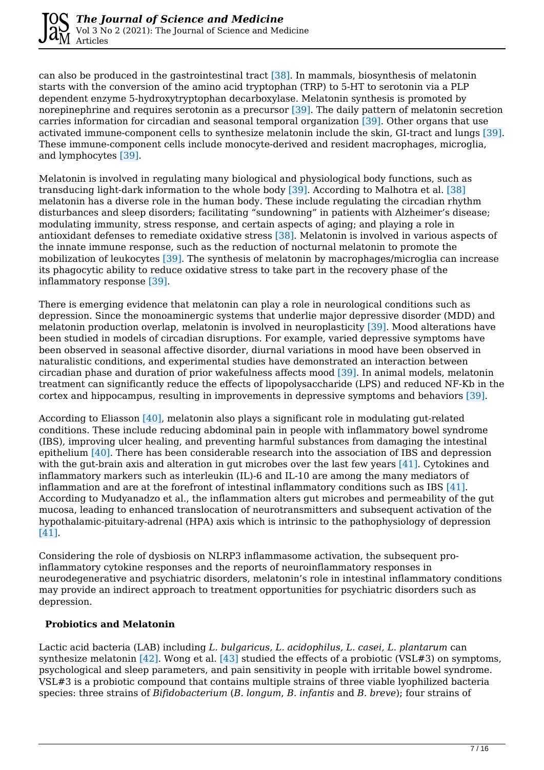

can also be produced in the gastrointestinal tract [38]. In mammals, biosynthesis of melatonin starts with the conversion of the amino acid tryptophan (TRP) to 5-HT to serotonin via a PLP dependent enzyme 5-hydroxytryptophan decarboxylase. Melatonin synthesis is promoted by norepinephrine and requires serotonin as a precursor [39]. The daily pattern of melatonin secretion carries information for circadian and seasonal temporal organization [39]. Other organs that use activated immune-component cells to synthesize melatonin include the skin, GI-tract and lungs [39]. These immune-component cells include monocyte-derived and resident macrophages, microglia, and lymphocytes [39].

Melatonin is involved in regulating many biological and physiological body functions, such as transducing light-dark information to the whole body [39]. According to Malhotra et al. [38] melatonin has a diverse role in the human body. These include regulating the circadian rhythm disturbances and sleep disorders; facilitating "sundowning" in patients with Alzheimer's disease; modulating immunity, stress response, and certain aspects of aging; and playing a role in antioxidant defenses to remediate oxidative stress [38]. Melatonin is involved in various aspects of the innate immune response, such as the reduction of nocturnal melatonin to promote the mobilization of leukocytes [39]. The synthesis of melatonin by macrophages/microglia can increase its phagocytic ability to reduce oxidative stress to take part in the recovery phase of the inflammatory response [39].

There is emerging evidence that melatonin can play a role in neurological conditions such as depression. Since the monoaminergic systems that underlie major depressive disorder (MDD) and melatonin production overlap, melatonin is involved in neuroplasticity [39]. Mood alterations have been studied in models of circadian disruptions. For example, varied depressive symptoms have been observed in seasonal affective disorder, diurnal variations in mood have been observed in naturalistic conditions, and experimental studies have demonstrated an interaction between circadian phase and duration of prior wakefulness affects mood [39]. In animal models, melatonin treatment can significantly reduce the effects of lipopolysaccharide (LPS) and reduced NF-Kb in the cortex and hippocampus, resulting in improvements in depressive symptoms and behaviors [39].

According to Eliasson [40], melatonin also plays a significant role in modulating gut-related conditions. These include reducing abdominal pain in people with inflammatory bowel syndrome (IBS), improving ulcer healing, and preventing harmful substances from damaging the intestinal epithelium [40]. There has been considerable research into the association of IBS and depression with the gut-brain axis and alteration in gut microbes over the last few years [41]. Cytokines and inflammatory markers such as interleukin (IL)-6 and IL-10 are among the many mediators of inflammation and are at the forefront of intestinal inflammatory conditions such as IBS [41]. According to Mudyanadzo et al., the inflammation alters gut microbes and permeability of the gut mucosa, leading to enhanced translocation of neurotransmitters and subsequent activation of the hypothalamic-pituitary-adrenal (HPA) axis which is intrinsic to the pathophysiology of depression [41].

Considering the role of dysbiosis on NLRP3 inflammasome activation, the subsequent proinflammatory cytokine responses and the reports of neuroinflammatory responses in neurodegenerative and psychiatric disorders, melatonin's role in intestinal inflammatory conditions may provide an indirect approach to treatment opportunities for psychiatric disorders such as depression.

#### **Probiotics and Melatonin**

Lactic acid bacteria (LAB) including *L. bulgaricus, L. acidophilus, L. casei, L. plantarum* can synthesize melatonin [42]. Wong et al. [43] studied the effects of a probiotic (VSL#3) on symptoms, psychological and sleep parameters, and pain sensitivity in people with irritable bowel syndrome. VSL#3 is a probiotic compound that contains multiple strains of three viable lyophilized bacteria species: three strains of *Bifidobacterium* (*B. longum*, *B. infantis* and *B. breve*); four strains of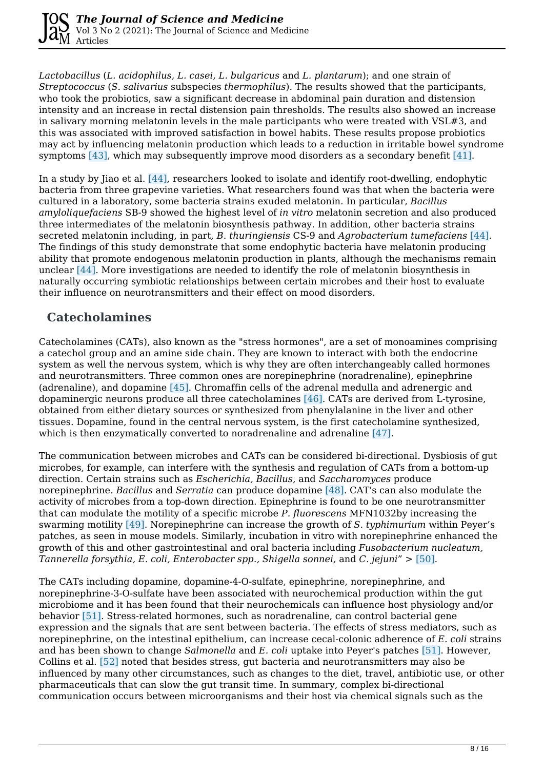

*Lactobacillus* (*L. acidophilus*, *L. casei*, *L. bulgaricus* and *L. plantarum*); and one strain of *Streptococcus* (*S. salivarius* subspecies *thermophilus*). The results showed that the participants, who took the probiotics, saw a significant decrease in abdominal pain duration and distension intensity and an increase in rectal distension pain thresholds. The results also showed an increase in salivary morning melatonin levels in the male participants who were treated with VSL#3, and this was associated with improved satisfaction in bowel habits. These results propose probiotics may act by influencing melatonin production which leads to a reduction in irritable bowel syndrome symptoms [43], which may subsequently improve mood disorders as a secondary benefit [41].

In a study by Jiao et al. [44], researchers looked to isolate and identify root-dwelling, endophytic bacteria from three grapevine varieties. What researchers found was that when the bacteria were cultured in a laboratory, some bacteria strains exuded melatonin. In particular, *Bacillus amyloliquefaciens* SB-9 showed the highest level of *in vitro* melatonin secretion and also produced three intermediates of the melatonin biosynthesis pathway. In addition, other bacteria strains secreted melatonin including, in part, *B. thuringiensis* CS-9 and *Agrobacterium tumefaciens* [44]. The findings of this study demonstrate that some endophytic bacteria have melatonin producing ability that promote endogenous melatonin production in plants, although the mechanisms remain unclear [44]. More investigations are needed to identify the role of melatonin biosynthesis in naturally occurring symbiotic relationships between certain microbes and their host to evaluate their influence on neurotransmitters and their effect on mood disorders.

### **Catecholamines**

Catecholamines (CATs), also known as the "stress hormones", are a set of monoamines comprising a catechol group and an amine side chain. They are known to interact with both the endocrine system as well the nervous system, which is why they are often interchangeably called hormones and neurotransmitters. Three common ones are norepinephrine (noradrenaline), epinephrine (adrenaline), and dopamine [45]. Chromaffin cells of the adrenal medulla and adrenergic and dopaminergic neurons produce all three catecholamines [46]. CATs are derived from L-tyrosine, obtained from either dietary sources or synthesized from phenylalanine in the liver and other tissues. Dopamine, found in the central nervous system, is the first catecholamine synthesized, which is then enzymatically converted to noradrenaline and adrenaline [47].

The communication between microbes and CATs can be considered bi-directional. Dysbiosis of gut microbes, for example, can interfere with the synthesis and regulation of CATs from a bottom-up direction. Certain strains such as *Escherichia, Bacillus*, and *Saccharomyces* produce norepinephrine. *Bacillus* and *Serratia* can produce dopamine [48]. CAT's can also modulate the activity of microbes from a top-down direction. Epinephrine is found to be one neurotransmitter that can modulate the motility of a specific microbe *P. fluorescens* MFN1032by increasing the swarming motility [49]. Norepinephrine can increase the growth of *S. typhimurium* within Peyer's patches, as seen in mouse models. Similarly, incubation in vitro with norepinephrine enhanced the growth of this and other gastrointestinal and oral bacteria including *Fusobacterium nucleatum, Tannerella forsythia, E. coli, Enterobacter spp., Shigella sonnei,* and *C. jejuni" >* [50].

The CATs including dopamine, dopamine-4-O-sulfate, epinephrine, norepinephrine, and norepinephrine-3-O-sulfate have been associated with neurochemical production within the gut microbiome and it has been found that their neurochemicals can influence host physiology and/or behavior [51]. Stress-related hormones, such as noradrenaline, can control bacterial gene expression and the signals that are sent between bacteria. The effects of stress mediators, such as norepinephrine, on the intestinal epithelium, can increase cecal-colonic adherence of *E. coli* strains and has been shown to change *Salmonella* and *E. coli* uptake into Peyer's patches [51]. However, Collins et al. [52] noted that besides stress, gut bacteria and neurotransmitters may also be influenced by many other circumstances, such as changes to the diet, travel, antibiotic use, or other pharmaceuticals that can slow the gut transit time. In summary, complex bi-directional communication occurs between microorganisms and their host via chemical signals such as the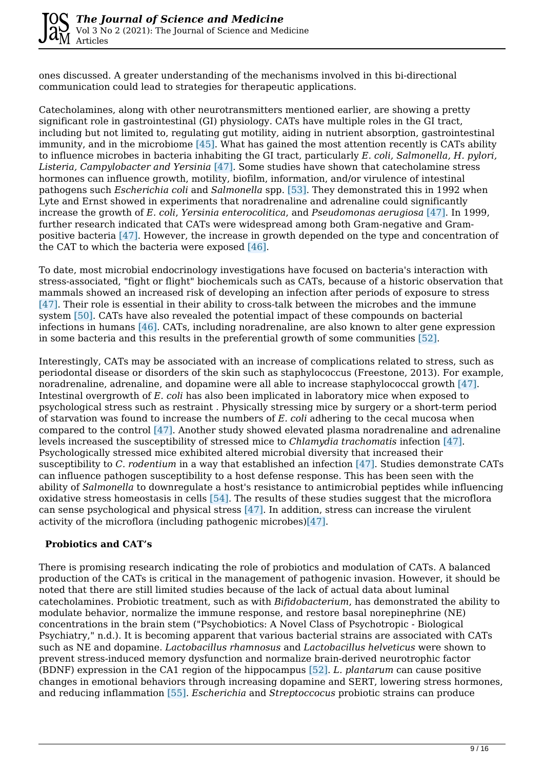ones discussed. A greater understanding of the mechanisms involved in this bi-directional communication could lead to strategies for therapeutic applications.

Catecholamines, along with other neurotransmitters mentioned earlier, are showing a pretty significant role in gastrointestinal (GI) physiology. CATs have multiple roles in the GI tract, including but not limited to, regulating gut motility, aiding in nutrient absorption, gastrointestinal immunity, and in the microbiome [45]. What has gained the most attention recently is CATs ability to influence microbes in bacteria inhabiting the GI tract, particularly *E. coli, Salmonella, H. pylori, Listeria, Campylobacter and Yersinia* [47]. Some studies have shown that catecholamine stress hormones can influence growth, motility, biofilm, information, and/or virulence of intestinal pathogens such *Escherichia coli* and *Salmonella* spp. [53]. They demonstrated this in 1992 when Lyte and Ernst showed in experiments that noradrenaline and adrenaline could significantly increase the growth of *E. coli*, *Yersinia enterocolitica*, and *Pseudomonas aerugiosa* [47]. In 1999, further research indicated that CATs were widespread among both Gram-negative and Grampositive bacteria [47]. However, the increase in growth depended on the type and concentration of the CAT to which the bacteria were exposed [46].

To date, most microbial endocrinology investigations have focused on bacteria's interaction with stress-associated, "fight or flight" biochemicals such as CATs, because of a historic observation that mammals showed an increased risk of developing an infection after periods of exposure to stress [47]. Their role is essential in their ability to cross-talk between the microbes and the immune system [50]. CATs have also revealed the potential impact of these compounds on bacterial infections in humans [46]. CATs, including noradrenaline, are also known to alter gene expression in some bacteria and this results in the preferential growth of some communities [52].

Interestingly, CATs may be associated with an increase of complications related to stress, such as periodontal disease or disorders of the skin such as staphylococcus (Freestone, 2013). For example, noradrenaline, adrenaline, and dopamine were all able to increase staphylococcal growth [47]. Intestinal overgrowth of *E. coli* has also been implicated in laboratory mice when exposed to psychological stress such as restraint . Physically stressing mice by surgery or a short-term period of starvation was found to increase the numbers of *E. coli* adhering to the cecal mucosa when compared to the control [47]. Another study showed elevated plasma noradrenaline and adrenaline levels increased the susceptibility of stressed mice to *Chlamydia trachomatis* infection [47]. Psychologically stressed mice exhibited altered microbial diversity that increased their susceptibility to *C. rodentium* in a way that established an infection [47]. Studies demonstrate CATs can influence pathogen susceptibility to a host defense response. This has been seen with the ability of *Salmonella* to downregulate a host's resistance to antimicrobial peptides while influencing oxidative stress homeostasis in cells  $[54]$ . The results of these studies suggest that the microflora can sense psychological and physical stress [47]. In addition, stress can increase the virulent activity of the microflora (including pathogenic microbes)[47].

#### **Probiotics and CAT's**

There is promising research indicating the role of probiotics and modulation of CATs. A balanced production of the CATs is critical in the management of pathogenic invasion. However, it should be noted that there are still limited studies because of the lack of actual data about luminal catecholamines. Probiotic treatment, such as with *Bifidobacterium*, has demonstrated the ability to modulate behavior, normalize the immune response, and restore basal norepinephrine (NE) concentrations in the brain stem ("Psychobiotics: A Novel Class of Psychotropic - Biological Psychiatry," n.d.). It is becoming apparent that various bacterial strains are associated with CATs such as NE and dopamine. *Lactobacillus rhamnosus* and *Lactobacillus helveticus* were shown to prevent stress-induced memory dysfunction and normalize brain-derived neurotrophic factor (BDNF) expression in the CA1 region of the hippocampus [52]. *L. plantarum* can cause positive changes in emotional behaviors through increasing dopamine and SERT, lowering stress hormones, and reducing inflammation [55]. *Escherichia* and *Streptoccocus* probiotic strains can produce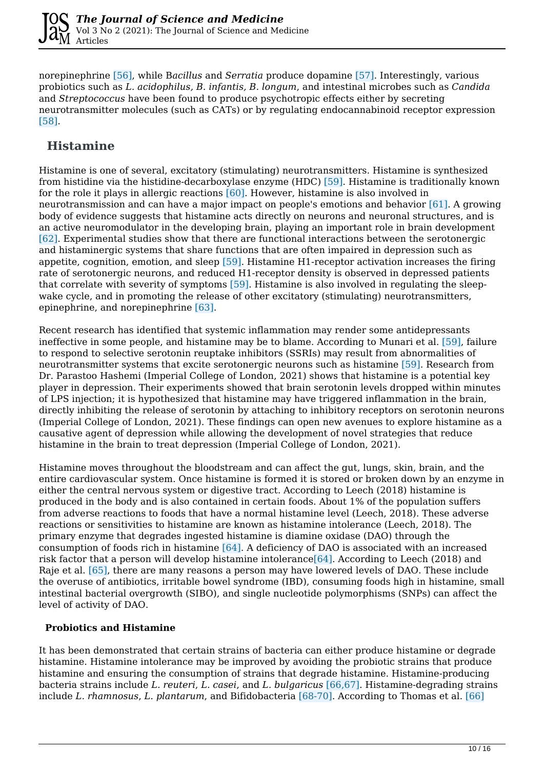norepinephrine [56], while B*acillus* and *Serratia* produce dopamine [57]. Interestingly, various probiotics such as *L. acidophilus, B. infantis, B. longum*, and intestinal microbes such as *Candida* and *Streptococcus* have been found to produce psychotropic effects either by secreting neurotransmitter molecules (such as CATs) or by regulating endocannabinoid receptor expression [58].

## **Histamine**

Histamine is one of several, excitatory (stimulating) neurotransmitters. Histamine is synthesized from histidine via the histidine-decarboxylase enzyme (HDC) [59]. Histamine is traditionally known for the role it plays in allergic reactions [60]. However, histamine is also involved in neurotransmission and can have a major impact on people's emotions and behavior [61]. A growing body of evidence suggests that histamine acts directly on neurons and neuronal structures, and is an active neuromodulator in the developing brain, playing an important role in brain development [62]. Experimental studies show that there are functional interactions between the serotonergic and histaminergic systems that share functions that are often impaired in depression such as appetite, cognition, emotion, and sleep [59]. Histamine H1-receptor activation increases the firing rate of serotonergic neurons, and reduced H1-receptor density is observed in depressed patients that correlate with severity of symptoms [59]. Histamine is also involved in regulating the sleepwake cycle, and in promoting the release of other excitatory (stimulating) neurotransmitters, epinephrine, and norepinephrine [63].

Recent research has identified that systemic inflammation may render some antidepressants ineffective in some people, and histamine may be to blame. According to Munari et al. [59], failure to respond to selective serotonin reuptake inhibitors (SSRIs) may result from abnormalities of neurotransmitter systems that excite serotonergic neurons such as histamine [59]. Research from Dr. Parastoo Hashemi (Imperial College of London, 2021) shows that histamine is a potential key player in depression. Their experiments showed that brain serotonin levels dropped within minutes of LPS injection; it is hypothesized that histamine may have triggered inflammation in the brain, directly inhibiting the release of serotonin by attaching to inhibitory receptors on serotonin neurons (Imperial College of London, 2021). These findings can open new avenues to explore histamine as a causative agent of depression while allowing the development of novel strategies that reduce histamine in the brain to treat depression (Imperial College of London, 2021).

Histamine moves throughout the bloodstream and can affect the gut, lungs, skin, brain, and the entire cardiovascular system. Once histamine is formed it is stored or broken down by an enzyme in either the central nervous system or digestive tract. According to Leech (2018) histamine is produced in the body and is also contained in certain foods. About 1% of the population suffers from adverse reactions to foods that have a normal histamine level (Leech, 2018). These adverse reactions or sensitivities to histamine are known as histamine intolerance (Leech, 2018). The primary enzyme that degrades ingested histamine is diamine oxidase (DAO) through the consumption of foods rich in histamine [64]. A deficiency of DAO is associated with an increased risk factor that a person will develop histamine intolerance  $[64]$ . According to Leech (2018) and Raje et al. [65], there are many reasons a person may have lowered levels of DAO. These include the overuse of antibiotics, irritable bowel syndrome (IBD), consuming foods high in histamine, small intestinal bacterial overgrowth (SIBO), and single nucleotide polymorphisms (SNPs) can affect the level of activity of DAO.

#### **Probiotics and Histamine**

It has been demonstrated that certain strains of bacteria can either produce histamine or degrade histamine. Histamine intolerance may be improved by avoiding the probiotic strains that produce histamine and ensuring the consumption of strains that degrade histamine. Histamine-producing bacteria strains include *L. reuteri*, *L. casei*, and *L. bulgaricus* [66,67]. Histamine-degrading strains include *L. rhamnosus*, *L. plantarum*, and Bifidobacteria [68-70]. According to Thomas et al. [66]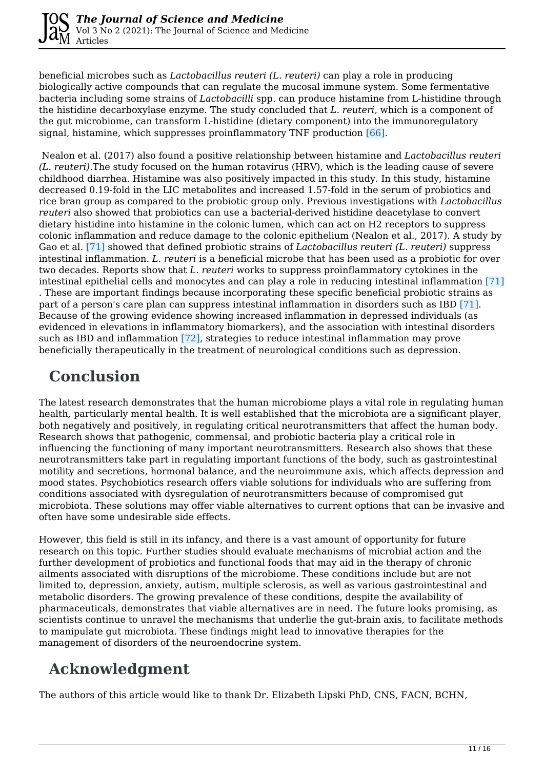beneficial microbes such as *Lactobacillus reuteri (L. reuteri)* can play a role in producing biologically active compounds that can regulate the mucosal immune system. Some fermentative bacteria including some strains of *Lactobacilli* spp. can produce histamine from L-histidine through the histidine decarboxylase enzyme. The study concluded that *L. reuteri,* which is a component of the gut microbiome, can transform L-histidine (dietary component) into the immunoregulatory signal, histamine, which suppresses proinflammatory TNF production [66].

Nealon et al. (2017) also found a positive relationship between histamine and *Lactobacillus reuteri (L. reuteri).*The study focused on the human rotavirus (HRV), which is the leading cause of severe childhood diarrhea. Histamine was also positively impacted in this study. In this study, histamine decreased 0.19-fold in the LIC metabolites and increased 1.57-fold in the serum of probiotics and rice bran group as compared to the probiotic group only. Previous investigations with *Lactobacillus reuteri* also showed that probiotics can use a bacterial-derived histidine deacetylase to convert dietary histidine into histamine in the colonic lumen, which can act on H2 receptors to suppress colonic inflammation and reduce damage to the colonic epithelium (Nealon et al., 2017). A study by Gao et al. [71] showed that defined probiotic strains of *Lactobacillus reuteri (L. reuteri)* suppress intestinal inflammation. *L. reuteri* is a beneficial microbe that has been used as a probiotic for over two decades. Reports show that *L. reuteri* works to suppress proinflammatory cytokines in the intestinal epithelial cells and monocytes and can play a role in reducing intestinal inflammation [71] . These are important findings because incorporating these specific beneficial probiotic strains as part of a person's care plan can suppress intestinal inflammation in disorders such as IBD [71]. Because of the growing evidence showing increased inflammation in depressed individuals (as evidenced in elevations in inflammatory biomarkers), and the association with intestinal disorders such as IBD and inflammation [72], strategies to reduce intestinal inflammation may prove beneficially therapeutically in the treatment of neurological conditions such as depression.

## **Conclusion**

The latest research demonstrates that the human microbiome plays a vital role in regulating human health, particularly mental health. It is well established that the microbiota are a significant player, both negatively and positively, in regulating critical neurotransmitters that affect the human body. Research shows that pathogenic, commensal, and probiotic bacteria play a critical role in influencing the functioning of many important neurotransmitters. Research also shows that these neurotransmitters take part in regulating important functions of the body, such as gastrointestinal motility and secretions, hormonal balance, and the neuroimmune axis, which affects depression and mood states. Psychobiotics research offers viable solutions for individuals who are suffering from conditions associated with dysregulation of neurotransmitters because of compromised gut microbiota. These solutions may offer viable alternatives to current options that can be invasive and often have some undesirable side effects.

However, this field is still in its infancy, and there is a vast amount of opportunity for future research on this topic. Further studies should evaluate mechanisms of microbial action and the further development of probiotics and functional foods that may aid in the therapy of chronic ailments associated with disruptions of the microbiome. These conditions include but are not limited to, depression, anxiety, autism, multiple sclerosis, as well as various gastrointestinal and metabolic disorders. The growing prevalence of these conditions, despite the availability of pharmaceuticals, demonstrates that viable alternatives are in need. The future looks promising, as scientists continue to unravel the mechanisms that underlie the gut-brain axis, to facilitate methods to manipulate gut microbiota. These findings might lead to innovative therapies for the management of disorders of the neuroendocrine system.

## **Acknowledgment**

The authors of this article would like to thank Dr. Elizabeth Lipski PhD, CNS, FACN, BCHN,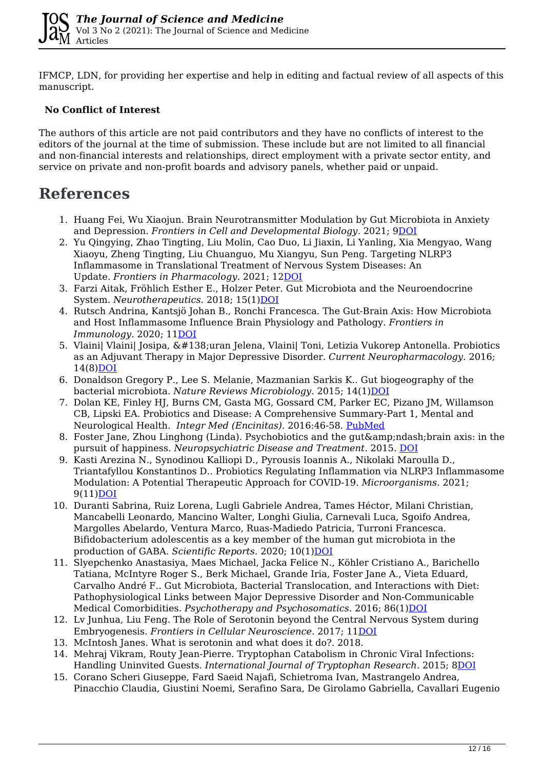IFMCP, LDN, for providing her expertise and help in editing and factual review of all aspects of this manuscript.

#### **No Conflict of Interest**

The authors of this article are not paid contributors and they have no conflicts of interest to the editors of the journal at the time of submission. These include but are not limited to all financial and non-financial interests and relationships, direct employment with a private sector entity, and service on private and non-profit boards and advisory panels, whether paid or unpaid.

## **References**

- 1. Huang Fei, Wu Xiaojun. Brain Neurotransmitter Modulation by Gut Microbiota in Anxiety and Depression. *Frontiers in Cell and Developmental Biology.* 2021; [9DOI](https://doi.org/10.3389/fcell.2021.649103)
- 2. Yu Qingying, Zhao Tingting, Liu Molin, Cao Duo, Li Jiaxin, Li Yanling, Xia Mengyao, Wang Xiaoyu, Zheng Tingting, Liu Chuanguo, Mu Xiangyu, Sun Peng. Targeting NLRP3 Inflammasome in Translational Treatment of Nervous System Diseases: An Update. *Frontiers in Pharmacology.* 2021; 12[DOI](https://doi.org/10.3389/fphar.2021.707696)
- 3. Farzi Aitak, Fröhlich Esther E., Holzer Peter. Gut Microbiota and the Neuroendocrine System. *Neurotherapeutics.* 2018; 15(1[\)DOI](https://doi.org/10.1007/s13311-017-0600-5)
- 4. Rutsch Andrina, Kantsjö Johan B., Ronchi Francesca. The Gut-Brain Axis: How Microbiota and Host Inflammasome Influence Brain Physiology and Pathology. *Frontiers in Immunology.* 2020; 11[DOI](https://doi.org/10.3389/fimmu.2020.604179)
- 5. Vlaini| Vlaini| Josipa, Šuran Jelena, Vlaini| Toni, Letizia Vukorep Antonella. Probiotics as an Adjuvant Therapy in Major Depressive Disorder. *Current Neuropharmacology.* 2016; 14(8)[DOI](https://doi.org/10.2174/1570159x14666160526120928)
- 6. Donaldson Gregory P., Lee S. Melanie, Mazmanian Sarkis K.. Gut biogeography of the bacterial microbiota. *Nature Reviews Microbiology.* 2015; 14(1[\)DOI](https://doi.org/10.1038/nrmicro3552)
- 7. Dolan KE, Finley HJ, Burns CM, Gasta MG, Gossard CM, Parker EC, Pizano JM, Willamson CB, Lipski EA. Probiotics and Disease: A Comprehensive Summary-Part 1, Mental and Neurological Health. *Integr Med (Encinitas).* 2016:46-58. [PubMed](https://www.ncbi.nlm.nih.gov/pubmed/27980495)
- 8. Foster Jane, Zhou Linghong (Linda). Psychobiotics and the gut–brain axis: in the pursuit of happiness. *Neuropsychiatric Disease and Treatment.* 2015. [DOI](https://doi.org/10.2147/ndt.s61997)
- 9. Kasti Arezina N., Synodinou Kalliopi D., Pyrousis Ioannis A., Nikolaki Maroulla D., Triantafyllou Konstantinos D.. Probiotics Regulating Inflammation via NLRP3 Inflammasome Modulation: A Potential Therapeutic Approach for COVID-19. *Microorganisms.* 2021; 9(11)[DOI](https://doi.org/10.3390/microorganisms9112376)
- 10. Duranti Sabrina, Ruiz Lorena, Lugli Gabriele Andrea, Tames Héctor, Milani Christian, Mancabelli Leonardo, Mancino Walter, Longhi Giulia, Carnevali Luca, Sgoifo Andrea, Margolles Abelardo, Ventura Marco, Ruas-Madiedo Patricia, Turroni Francesca. Bifidobacterium adolescentis as a key member of the human gut microbiota in the production of GABA. *Scientific Reports.* 2020; 10(1[\)DOI](https://doi.org/10.1038/s41598-020-70986-z)
- 11. Slyepchenko Anastasiya, Maes Michael, Jacka Felice N., Köhler Cristiano A., Barichello Tatiana, McIntyre Roger S., Berk Michael, Grande Iria, Foster Jane A., Vieta Eduard, Carvalho André F.. Gut Microbiota, Bacterial Translocation, and Interactions with Diet: Pathophysiological Links between Major Depressive Disorder and Non-Communicable Medical Comorbidities. *Psychotherapy and Psychosomatics.* 2016; 86(1[\)DOI](https://doi.org/10.1159/000448957)
- 12. Lv Junhua, Liu Feng. The Role of Serotonin beyond the Central Nervous System during Embryogenesis. *Frontiers in Cellular Neuroscience.* 2017; 1[1DOI](https://doi.org/10.3389/fncel.2017.00074)
- 13. McIntosh Janes. What is serotonin and what does it do?. 2018.
- 14. Mehraj Vikram, Routy Jean-Pierre. Tryptophan Catabolism in Chronic Viral Infections: Handling Uninvited Guests. *International Journal of Tryptophan Research.* 2015; 8[DOI](https://doi.org/10.4137/ijtr.s26862)
- 15. Corano Scheri Giuseppe, Fard Saeid Najafi, Schietroma Ivan, Mastrangelo Andrea, Pinacchio Claudia, Giustini Noemi, Serafino Sara, De Girolamo Gabriella, Cavallari Eugenio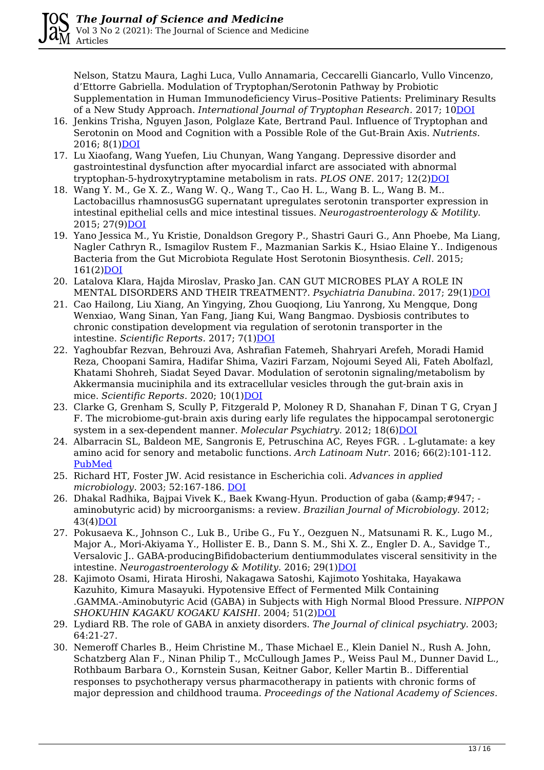Nelson, Statzu Maura, Laghi Luca, Vullo Annamaria, Ceccarelli Giancarlo, Vullo Vincenzo, d'Ettorre Gabriella. Modulation of Tryptophan/Serotonin Pathway by Probiotic Supplementation in Human Immunodeficiency Virus–Positive Patients: Preliminary Results of a New Study Approach. *International Journal of Tryptophan Research.* 2017; 10[DOI](https://doi.org/10.1177/1178646917710668)

- 16. Jenkins Trisha, Nguyen Jason, Polglaze Kate, Bertrand Paul. Influence of Tryptophan and Serotonin on Mood and Cognition with a Possible Role of the Gut-Brain Axis. *Nutrients.* 2016; 8(1[\)DOI](https://doi.org/10.3390/nu8010056)
- 17. Lu Xiaofang, Wang Yuefen, Liu Chunyan, Wang Yangang. Depressive disorder and gastrointestinal dysfunction after myocardial infarct are associated with abnormal tryptophan-5-hydroxytryptamine metabolism in rats. *PLOS ONE.* 2017; 12(2)[DOI](https://doi.org/10.1371/journal.pone.0172339)
- 18. Wang Y. M., Ge X. Z., Wang W. Q., Wang T., Cao H. L., Wang B. L., Wang B. M.. Lactobacillus rhamnosusGG supernatant upregulates serotonin transporter expression in intestinal epithelial cells and mice intestinal tissues. *Neurogastroenterology & Motility.* 2015; 27(9)[DOI](https://doi.org/10.1111/nmo.12615)
- 19. Yano Jessica M., Yu Kristie, Donaldson Gregory P., Shastri Gauri G., Ann Phoebe, Ma Liang, Nagler Cathryn R., Ismagilov Rustem F., Mazmanian Sarkis K., Hsiao Elaine Y.. Indigenous Bacteria from the Gut Microbiota Regulate Host Serotonin Biosynthesis. *Cell.* 2015; 161(2)[DOI](https://doi.org/10.1016/j.cell.2015.02.047)
- 20. Latalova Klara, Hajda Miroslav, Prasko Jan. CAN GUT MICROBES PLAY A ROLE IN MENTAL DISORDERS AND THEIR TREATMENT?. *Psychiatria Danubina.* 2017; 29(1)[DOI](https://doi.org/10.24869/psyd.2017.28)
- 21. Cao Hailong, Liu Xiang, An Yingying, Zhou Guoqiong, Liu Yanrong, Xu Mengque, Dong Wenxiao, Wang Sinan, Yan Fang, Jiang Kui, Wang Bangmao. Dysbiosis contributes to chronic constipation development via regulation of serotonin transporter in the intestine. *Scientific Reports.* 2017; 7(1)[DOI](https://doi.org/10.1038/s41598-017-10835-8)
- 22. Yaghoubfar Rezvan, Behrouzi Ava, Ashrafian Fatemeh, Shahryari Arefeh, Moradi Hamid Reza, Choopani Samira, Hadifar Shima, Vaziri Farzam, Nojoumi Seyed Ali, Fateh Abolfazl, Khatami Shohreh, Siadat Seyed Davar. Modulation of serotonin signaling/metabolism by Akkermansia muciniphila and its extracellular vesicles through the gut-brain axis in mice. *Scientific Reports.* 2020; 10(1[\)DOI](https://doi.org/10.1038/s41598-020-79171-8)
- 23. Clarke G, Grenham S, Scully P, Fitzgerald P, Moloney R D, Shanahan F, Dinan T G, Cryan J F. The microbiome-gut-brain axis during early life regulates the hippocampal serotonergic system in a sex-dependent manner. *Molecular Psychiatry.* 2012; 18(6)[DOI](https://doi.org/10.1038/mp.2012.77)
- 24. Albarracin SL, Baldeon ME, Sangronis E, Petruschina AC, Reyes FGR. . L-glutamate: a key amino acid for senory and metabolic functions. *Arch Latinoam Nutr.* 2016; 66(2):101-112. [PubMed](https://www.ncbi.nlm.nih.gov/pubmed/29737666.)
- 25. Richard HT, Foster JW. Acid resistance in Escherichia coli. *Advances in applied microbiology.* 2003; 52:167-186. [DOI](https://doi.org/10.1016/s0065-2164(03)01007-4)
- 26. Dhakal Radhika, Bajpai Vivek K., Baek Kwang-Hyun. Production of gaba (γ aminobutyric acid) by microorganisms: a review. *Brazilian Journal of Microbiology.* 2012; 43(4)[DOI](https://doi.org/10.1590/s1517-83822012000400001)
- 27. Pokusaeva K., Johnson C., Luk B., Uribe G., Fu Y., Oezguen N., Matsunami R. K., Lugo M., Major A., Mori-Akiyama Y., Hollister E. B., Dann S. M., Shi X. Z., Engler D. A., Savidge T., Versalovic J.. GABA-producingBifidobacterium dentiummodulates visceral sensitivity in the intestine. *Neurogastroenterology & Motility.* 2016; 29(1)[DOI](https://doi.org/10.1111/nmo.12904)
- 28. Kajimoto Osami, Hirata Hiroshi, Nakagawa Satoshi, Kajimoto Yoshitaka, Hayakawa Kazuhito, Kimura Masayuki. Hypotensive Effect of Fermented Milk Containing .GAMMA.-Aminobutyric Acid (GABA) in Subjects with High Normal Blood Pressure. *NIPPON SHOKUHIN KAGAKU KOGAKU KAISHI.* 2004; 51(2[\)DOI](https://doi.org/10.3136/nskkk.51.79)
- 29. Lydiard RB. The role of GABA in anxiety disorders. *The Journal of clinical psychiatry.* 2003; 64:21-27.
- 30. Nemeroff Charles B., Heim Christine M., Thase Michael E., Klein Daniel N., Rush A. John, Schatzberg Alan F., Ninan Philip T., McCullough James P., Weiss Paul M., Dunner David L., Rothbaum Barbara O., Kornstein Susan, Keitner Gabor, Keller Martin B.. Differential responses to psychotherapy versus pharmacotherapy in patients with chronic forms of major depression and childhood trauma. *Proceedings of the National Academy of Sciences.*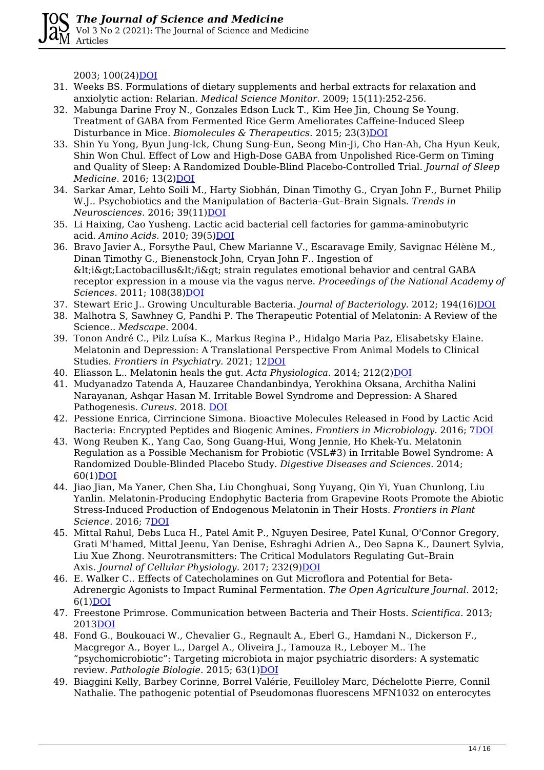2003; 100(24[\)DOI](https://doi.org/10.1073/pnas.2336126100)

- 31. Weeks BS. Formulations of dietary supplements and herbal extracts for relaxation and anxiolytic action: Relarian. *Medical Science Monitor.* 2009; 15(11):252-256.
- 32. Mabunga Darine Froy N., Gonzales Edson Luck T., Kim Hee Jin, Choung Se Young. Treatment of GABA from Fermented Rice Germ Ameliorates Caffeine-Induced Sleep Disturbance in Mice. Biomolecules & Therapeutics. 2015; 23(3[\)DOI](https://doi.org/10.4062/biomolther.2015.022)
- 33. Shin Yu Yong, Byun Jung-Ick, Chung Sung-Eun, Seong Min-Ji, Cho Han-Ah, Cha Hyun Keuk, Shin Won Chul. Effect of Low and High-Dose GABA from Unpolished Rice-Germ on Timing and Quality of Sleep: A Randomized Double-Blind Placebo-Controlled Trial. *Journal of Sleep Medicine.* 2016; 13(2)*[DOI](https://doi.org/10.13078/jsm.16011)*
- 34. Sarkar Amar, Lehto Soili M., Harty Siobhán, Dinan Timothy G., Cryan John F., Burnet Philip W.J.. Psychobiotics and the Manipulation of Bacteria–Gut–Brain Signals. *Trends in Neurosciences.* 2016; 39(11[\)DOI](https://doi.org/10.1016/j.tins.2016.09.002)
- 35. Li Haixing, Cao Yusheng. Lactic acid bacterial cell factories for gamma-aminobutyric acid. Amino Acids. 2010; 39(5)[DOI](https://doi.org/10.1007/s00726-010-0582-7)
- 36. Bravo Javier A., Forsythe Paul, Chew Marianne V., Escaravage Emily, Savignac Hélène M., Dinan Timothy G., Bienenstock John, Cryan John F.. Ingestion of  $\<$ lt;i $\>$ gt;Lactobacillus $<$ lt;/i $<$ qt; strain regulates emotional behavior and central GABA receptor expression in a mouse via the vagus nerve. *Proceedings of the National Academy of Sciences.* 2011; 108(38[\)DOI](https://doi.org/10.1073/pnas.1102999108)
- 37. Stewart Eric J.. Growing Unculturable Bacteria. *Journal of Bacteriology.* 2012; 194(16) DOI
- 38. Malhotra S, Sawhney G, Pandhi P. The Therapeutic Potential of Melatonin: A Review of the Science.. *Medscape.* 2004.
- 39. Tonon André C., Pilz Luísa K., Markus Regina P., Hidalgo Maria Paz, Elisabetsky Elaine. Melatonin and Depression: A Translational Perspective From Animal Models to Clinical Studies. *Frontiers in Psychiatry.* 2021; 1[2DOI](https://doi.org/10.3389/fpsyt.2021.638981)
- 40. Eliasson L.. Melatonin heals the gut. Acta Physiologica. 2014; 212(2)[DOI](https://doi.org/10.1111/apha.12364)
- 41. Mudyanadzo Tatenda A, Hauzaree Chandanbindya, Yerokhina Oksana, Architha Nalini Narayanan, Ashqar Hasan M. Irritable Bowel Syndrome and Depression: A Shared Pathogenesis. *Cureus.* 2018. [DOI](https://doi.org/10.7759/cureus.3178)
- 42. Pessione Enrica, Cirrincione Simona. Bioactive Molecules Released in Food by Lactic Acid Bacteria: Encrypted Peptides and Biogenic Amines. *Frontiers in Microbiology.* 2016; [7DOI](https://doi.org/10.3389/fmicb.2016.00876)
- 43. Wong Reuben K., Yang Cao, Song Guang-Hui, Wong Jennie, Ho Khek-Yu. Melatonin Regulation as a Possible Mechanism for Probiotic (VSL#3) in Irritable Bowel Syndrome: A Randomized Double-Blinded Placebo Study. *Digestive Diseases and Sciences.* 2014; 60(1)[DOI](https://doi.org/10.1007/s10620-014-3299-8)
- 44. Jiao Jian, Ma Yaner, Chen Sha, Liu Chonghuai, Song Yuyang, Qin Yi, Yuan Chunlong, Liu Yanlin. Melatonin-Producing Endophytic Bacteria from Grapevine Roots Promote the Abiotic Stress-Induced Production of Endogenous Melatonin in Their Hosts. *Frontiers in Plant Science.* 2016; 7[DOI](https://doi.org/10.3389/fpls.2016.01387)
- 45. Mittal Rahul, Debs Luca H., Patel Amit P., Nguyen Desiree, Patel Kunal, O'Connor Gregory, Grati M'hamed, Mittal Jeenu, Yan Denise, Eshraghi Adrien A., Deo Sapna K., Daunert Sylvia, Liu Xue Zhong. Neurotransmitters: The Critical Modulators Regulating Gut–Brain Axis. *Journal of Cellular Physiology.* 2017; 232(9)[DOI](https://doi.org/10.1002/jcp.25518)
- 46. E. Walker C.. Effects of Catecholamines on Gut Microflora and Potential for Beta-Adrenergic Agonists to Impact Ruminal Fermentation. *The Open Agriculture Journal.* 2012; 6(1[\)DOI](https://doi.org/10.2174/1874331501206010057)
- 47. Freestone Primrose. Communication between Bacteria and Their Hosts. *Scientifica.* 2013; 201[3DOI](https://doi.org/10.1155/2013/361073)
- 48. Fond G., Boukouaci W., Chevalier G., Regnault A., Eberl G., Hamdani N., Dickerson F., Macgregor A., Boyer L., Dargel A., Oliveira J., Tamouza R., Leboyer M.. The "psychomicrobiotic": Targeting microbiota in major psychiatric disorders: A systematic review. *Pathologie Biologie.* 2015; 63(1)[DOI](https://doi.org/10.1016/j.patbio.2014.10.003)
- 49. Biaggini Kelly, Barbey Corinne, Borrel Valérie, Feuilloley Marc, Déchelotte Pierre, Connil Nathalie. The pathogenic potential of Pseudomonas fluorescens MFN1032 on enterocytes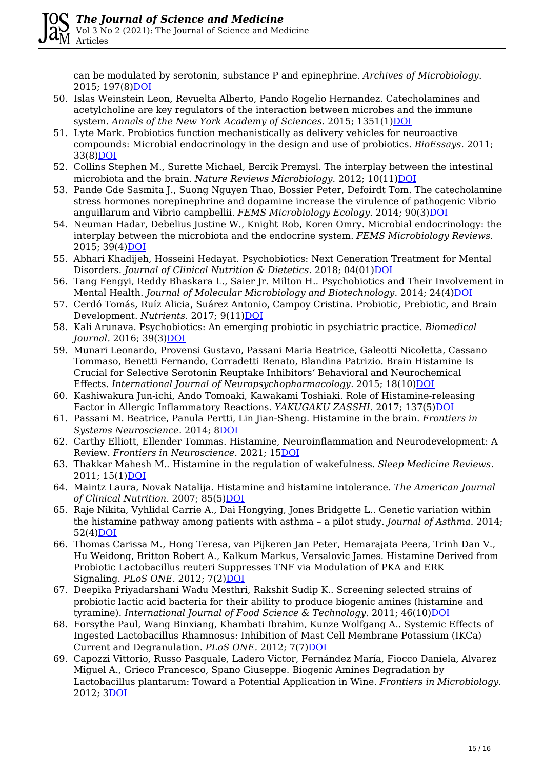can be modulated by serotonin, substance P and epinephrine. *Archives of Microbiology.* 2015; 197(8)[DOI](https://doi.org/10.1007/s00203-015-1135-y)

- 50. Islas Weinstein Leon, Revuelta Alberto, Pando Rogelio Hernandez. Catecholamines and acetylcholine are key regulators of the interaction between microbes and the immune system. Annals of the New York Academy of Sciences. 2015; 1351(1[\)DOI](https://doi.org/10.1111/nyas.12792)
- 51. Lyte Mark. Probiotics function mechanistically as delivery vehicles for neuroactive compounds: Microbial endocrinology in the design and use of probiotics. *BioEssays.* 2011; 33(8)[DOI](https://doi.org/10.1002/bies.201100024)
- 52. Collins Stephen M., Surette Michael, Bercik Premysl. The interplay between the intestinal microbiota and the brain. *Nature Reviews Microbiology*. 2012; 10(11) [DOI](https://doi.org/10.1038/nrmicro2876)
- 53. Pande Gde Sasmita J., Suong Nguyen Thao, Bossier Peter, Defoirdt Tom. The catecholamine stress hormones norepinephrine and dopamine increase the virulence of pathogenic Vibrio anguillarum and Vibrio campbellii. *FEMS Microbiology Ecology.* 2014; 90(3[\)DOI](https://doi.org/10.1111/1574-6941.12432)
- 54. Neuman Hadar, Debelius Justine W., Knight Rob, Koren Omry. Microbial endocrinology: the interplay between the microbiota and the endocrine system. *FEMS Microbiology Reviews.* 2015; 39(4)[DOI](https://doi.org/10.1093/femsre/fuu010)
- 55. Abhari Khadijeh, Hosseini Hedayat. Psychobiotics: Next Generation Treatment for Mental Disorders. *Journal of Clinical Nutrition & Dietetics.* 2018; 04(01) [DOI](https://doi.org/10.4172/2472-1921.100063)
- 56. Tang Fengyi, Reddy Bhaskara L., Saier Jr. Milton H.. Psychobiotics and Their Involvement in Mental Health. *Journal of Molecular Microbiology and Biotechnology.* 2014; 24(4[\)DOI](https://doi.org/10.1159/000366281)
- 57. Cerdó Tomás, Ruíz Alicia, Suárez Antonio, Campoy Cristina. Probiotic, Prebiotic, and Brain Development. *Nutrients.* 2017; 9(11)[DOI](https://doi.org/10.3390/nu9111247)
- 58. Kali Arunava. Psychobiotics: An emerging probiotic in psychiatric practice. *Biomedical Journal.* 2016; 39(3)[DOI](https://doi.org/10.1016/j.bj.2015.11.004)
- 59. Munari Leonardo, Provensi Gustavo, Passani Maria Beatrice, Galeotti Nicoletta, Cassano Tommaso, Benetti Fernando, Corradetti Renato, Blandina Patrizio. Brain Histamine Is Crucial for Selective Serotonin Reuptake Inhibitors' Behavioral and Neurochemical Effects. International Journal of Neuropsychopharmacology. 2015; 18(10)[DOI](https://doi.org/10.1093/ijnp/pyv045)
- 60. Kashiwakura Jun-ichi, Ando Tomoaki, Kawakami Toshiaki. Role of Histamine-releasing Factor in Allergic Inflammatory Reactions. *YAKUGAKU ZASSHI.* 2017; 137(5)[DOI](https://doi.org/10.1248/yakushi.16-00239-3)
- 61. Passani M. Beatrice, Panula Pertti, Lin Jian-Sheng. Histamine in the brain. *Frontiers in Systems Neuroscience.* 2014; [8DOI](https://doi.org/10.3389/fnsys.2014.00064)
- 62. Carthy Elliott, Ellender Tommas. Histamine, Neuroinflammation and Neurodevelopment: A Review. *Frontiers in Neuroscience.* 2021; 15[DOI](https://doi.org/10.3389/fnins.2021.680214)
- 63. Thakkar Mahesh M.. Histamine in the regulation of wakefulness. *Sleep Medicine Reviews.* 2011; 15(1)**[DOI](https://doi.org/10.1016/j.smrv.2010.06.004)**
- 64. Maintz Laura, Novak Natalija. Histamine and histamine intolerance. *The American Journal of Clinical Nutrition.* 2007; 85(5[\)DOI](https://doi.org/10.1093/ajcn/85.5.1185)
- 65. Raje Nikita, Vyhlidal Carrie A., Dai Hongying, Jones Bridgette L.. Genetic variation within the histamine pathway among patients with asthma – a pilot study. *Journal of Asthma.* 2014; 52(4)[DOI](https://doi.org/10.3109/02770903.2014.973501)
- 66. Thomas Carissa M., Hong Teresa, van Pijkeren Jan Peter, Hemarajata Peera, Trinh Dan V., Hu Weidong, Britton Robert A., Kalkum Markus, Versalovic James. Histamine Derived from Probiotic Lactobacillus reuteri Suppresses TNF via Modulation of PKA and ERK Signaling. *PLoS ONE*. 2012; 7(2) [DOI](https://doi.org/10.1371/journal.pone.0031951)
- 67. Deepika Priyadarshani Wadu Mesthri, Rakshit Sudip K.. Screening selected strains of probiotic lactic acid bacteria for their ability to produce biogenic amines (histamine and tyramine). *International Journal of Food Science & Technology.* 2011; 46(10[\)DOI](https://doi.org/10.1111/j.1365-2621.2011.02717.x)
- 68. Forsythe Paul, Wang Binxiang, Khambati Ibrahim, Kunze Wolfgang A.. Systemic Effects of Ingested Lactobacillus Rhamnosus: Inhibition of Mast Cell Membrane Potassium (IKCa) Current and Degranulation. *PLoS ONE.* 2012; 7(7)[DOI](https://doi.org/10.1371/journal.pone.0041234)
- 69. Capozzi Vittorio, Russo Pasquale, Ladero Victor, Fernández María, Fiocco Daniela, Alvarez Miguel A., Grieco Francesco, Spano Giuseppe. Biogenic Amines Degradation by Lactobacillus plantarum: Toward a Potential Application in Wine. *Frontiers in Microbiology.* 2012; [3DOI](https://doi.org/10.3389/fmicb.2012.00122)